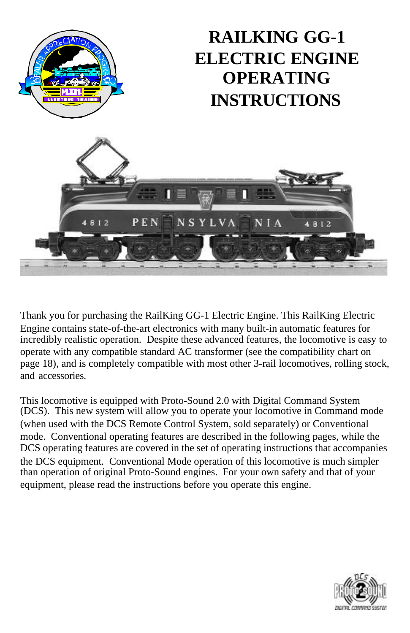

Thank you for purchasing the RailKing GG-1 Electric Engine. This RailKing Electric Engine contains state-of-the-art electronics with many built-in automatic features for incredibly realistic operation. Despite these advanced features, the locomotive is easy to operate with any compatible standard AC transformer (see the compatibility chart on page 18), and is completely compatible with most other 3-rail locomotives, rolling stock, and accessories.

This locomotive is equipped with Proto-Sound 2.0 with Digital Command System (DCS). This new system will allow you to operate your locomotive in Command mode (when used with the DCS Remote Control System, sold separately) or Conventional mode. Conventional operating features are described in the following pages, while the DCS operating features are covered in the set of operating instructions that accompanies the DCS equipment. Conventional Mode operation of this locomotive is much simpler than operation of original Proto-Sound engines. For your own safety and that of your equipment, please read the instructions before you operate this engine.

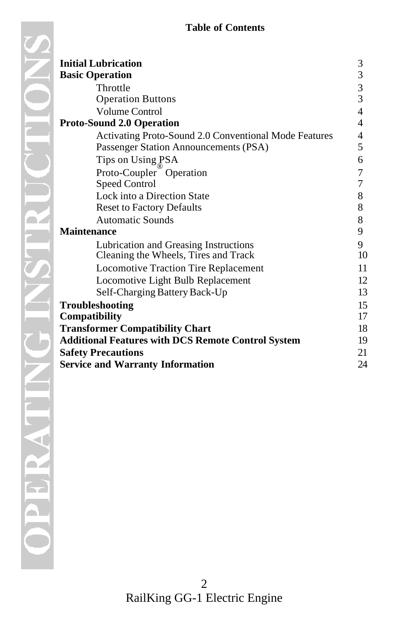| <b>Initial Lubrication</b>                                | 3  |
|-----------------------------------------------------------|----|
| <b>Basic Operation</b>                                    | 3  |
| Throttle                                                  | 3  |
| <b>Operation Buttons</b>                                  | 3  |
| <b>Volume Control</b>                                     | 4  |
| <b>Proto-Sound 2.0 Operation</b>                          | 4  |
| Activating Proto-Sound 2.0 Conventional Mode Features     | 4  |
| Passenger Station Announcements (PSA)                     | 5  |
| Tips on Using PSA                                         | 6  |
| Proto-Coupler <sup><i>O</i></sup> Operation               | 7  |
| <b>Speed Control</b>                                      | 7  |
| Lock into a Direction State                               | 8  |
| <b>Reset to Factory Defaults</b>                          | 8  |
| <b>Automatic Sounds</b>                                   | 8  |
| <b>Maintenance</b>                                        | 9  |
| Lubrication and Greasing Instructions                     | 9  |
| Cleaning the Wheels, Tires and Track                      | 10 |
| <b>Locomotive Traction Tire Replacement</b>               | 11 |
| Locomotive Light Bulb Replacement                         | 12 |
| Self-Charging Battery Back-Up                             | 13 |
| Troubleshooting                                           | 15 |
| Compatibility                                             | 17 |
| <b>Transformer Compatibility Chart</b>                    | 18 |
| <b>Additional Features with DCS Remote Control System</b> | 19 |
| <b>Safety Precautions</b>                                 | 21 |
| <b>Service and Warranty Information</b>                   | 24 |
|                                                           |    |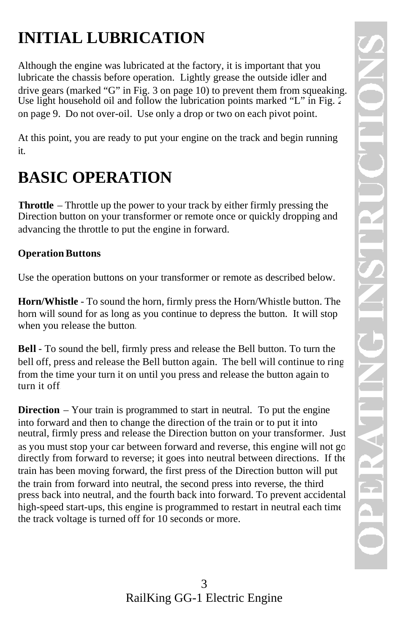# **INITIAL LUBRICATION**

Although the engine was lubricated at the factory, it is important that you lubricate the chassis before operation. Lightly grease the outside idler and drive gears (marked "G" in Fig. 3 on page 10) to prevent them from squeaking. Use light household oil and follow the lubrication points marked "L" in Fig. 2 on page 9. Do not over-oil. Use only a drop or two on each pivot point.

At this point, you are ready to put your engine on the track and begin running it.

# **BASIC OPERATION**

**Throttle** – Throttle up the power to your track by either firmly pressing the Direction button on your transformer or remote once or quickly dropping and advancing the throttle to put the engine in forward.

#### **Operation Buttons**

Use the operation buttons on your transformer or remote as described below.

**Horn/Whistle** - To sound the horn, firmly press the Horn/Whistle button. The horn will sound for as long as you continue to depress the button. It will stop when you release the button.

**Bell** - To sound the bell, firmly press and release the Bell button. To turn the bell off, press and release the Bell button again. The bell will continue to ring from the time your turn it on until you press and release the button again to turn it off.

**Direction** – Your train is programmed to start in neutral. To put the engine into forward and then to change the direction of the train or to put it into neutral, firmly press and release the Direction button on your transformer. Just as you must stop your car between forward and reverse, this engine will not go directly from forward to reverse; it goes into neutral between directions. If the train has been moving forward, the first press of the Direction button will put the train from forward into neutral, the second press into reverse, the third press back into neutral, and the fourth back into forward. To prevent accidental high-speed start-ups, this engine is programmed to restart in neutral each time the track voltage is turned off for 10 seconds or more.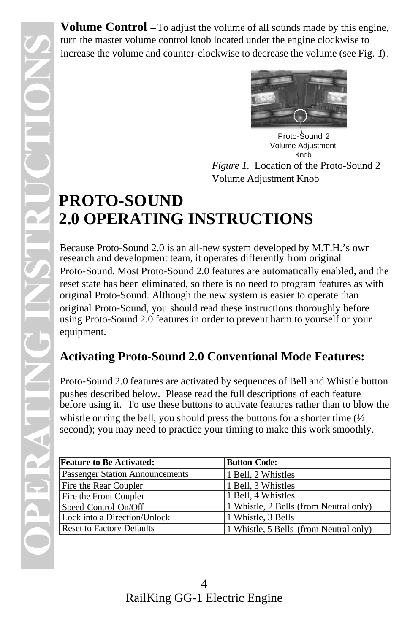**Volume Control** – To adjust the volume of all sounds made by this engine, turn the master volume control knob located under the engine clockwise to increase the volume and counter-clockwise to decrease the volume (see Fig. *1*).



Proto-Sound 2 Volume Adjustment Knob

*Figure 1.* Location of the Proto-Sound 2 Volume Adjustment Knob

# **PROTO-SOUND 2.0 OPERATING INSTRUCTIONS**

Because Proto-Sound 2.0 is an all-new system developed by M.T.H.'s own research and development team, it operates differently from original Proto-Sound. Most Proto-Sound 2.0 features are automatically enabled, and the reset state has been eliminated, so there is no need to program features as with original Proto-Sound. Although the new system is easier to operate than original Proto-Sound, you should read these instructions thoroughly before using Proto-Sound 2.0 features in order to prevent harm to yourself or your equipment.

## **Activating Proto-Sound 2.0 Conventional Mode Features:**

Proto-Sound 2.0 features are activated by sequences of Bell and Whistle button pushes described below. Please read the full descriptions of each feature before using it. To use these buttons to activate features rather than to blow the whistle or ring the bell, you should press the buttons for a shorter time  $\frac{1}{2}$ second); you may need to practice your timing to make this work smoothly.

| <b>Feature to Be Activated:</b>        | <b>Button Code:</b>                    |
|----------------------------------------|----------------------------------------|
| <b>Passenger Station Announcements</b> | 1 Bell, 2 Whistles                     |
| Fire the Rear Coupler                  | 1 Bell, 3 Whistles                     |
| Fire the Front Coupler                 | 1 Bell, 4 Whistles                     |
| Speed Control On/Off                   | 1 Whistle, 2 Bells (from Neutral only) |
| Lock into a Direction/Unlock           | 1 Whistle, 3 Bells                     |
| <b>Reset to Factory Defaults</b>       | 1 Whistle, 5 Bells (from Neutral only) |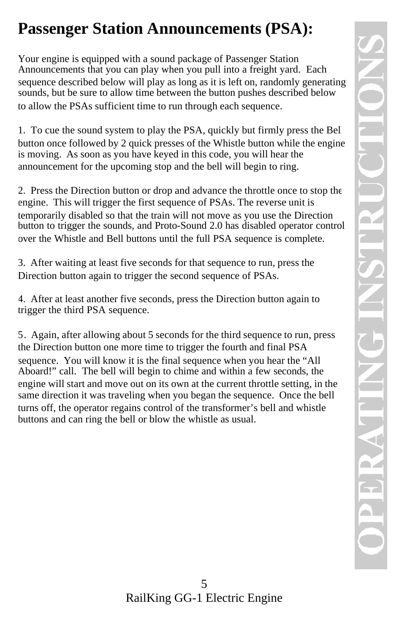# **Passenger Station Announcements (PSA):**

Your engine is equipped with a sound package of Passenger Station Announcements that you can play when you pull into a freight yard. Each sequence described below will play as long as it is left on, randomly generating sounds, but be sure to allow time between the button pushes described below to allow the PSAs sufficient time to run through each sequence.

1. To cue the sound system to play the PSA, quickly but firmly press the Bell button once followed by 2 quick presses of the Whistle button while the engine is moving. As soon as you have keyed in this code, you will hear the announcement for the upcoming stop and the bell will begin to ring.

2. Press the Direction button or drop and advance the throttle once to stop the engine. This will trigger the first sequence of PSAs. The reverse unit is temporarily disabled so that the train will not move as you use the Direction button to trigger the sounds, and Proto-Sound 2.0 has disabled operator control over the Whistle and Bell buttons until the full PSA sequence is complete.

3. After waiting at least five seconds for that sequence to run, press the Direction button again to trigger the second sequence of PSAs.

4. After at least another five seconds, press the Direction button again to trigger the third PSA sequence.

5. Again, after allowing about 5 seconds for the third sequence to run, press the Direction button one more time to trigger the fourth and final PSA sequence. You will know it is the final sequence when you hear the "All Aboard!" call. The bell will begin to chime and within a few seconds, the engine will start and move out on its own at the current throttle setting, in the same direction it was traveling when you began the sequence. Once the bell turns off, the operator regains control of the transformer's bell and whistle buttons and can ring the bell or blow the whistle as usual.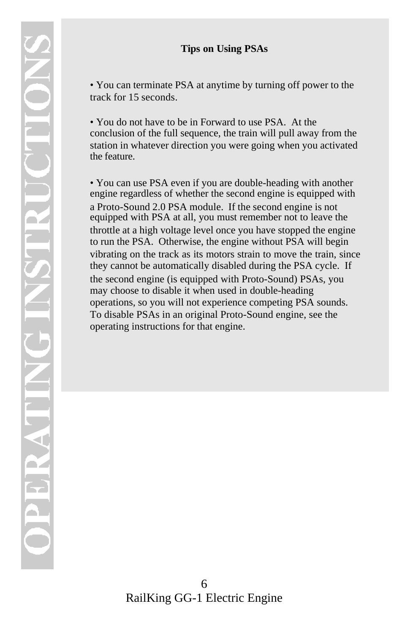#### **Tips on Using PSAs**

• You can terminate PSA at anytime by turning off power to the track for 15 seconds.

• You do not have to be in Forward to use PSA. At the conclusion of the full sequence, the train will pull away from the station in whatever direction you were going when you activated the feature.

• You can use PSA even if you are double-heading with another engine regardless of whether the second engine is equipped with a Proto-Sound 2.0 PSA module. If the second engine is not equipped with PSA at all, you must remember not to leave the throttle at a high voltage level once you have stopped the engine to run the PSA. Otherwise, the engine without PSA will begin vibrating on the track as its motors strain to move the train, since they cannot be automatically disabled during the PSA cycle. If the second engine (is equipped with Proto-Sound) PSAs, you may choose to disable it when used in double-heading operations, so you will not experience competing PSA sounds. To disable PSAs in an original Proto-Sound engine, see the operating instructions for that engine.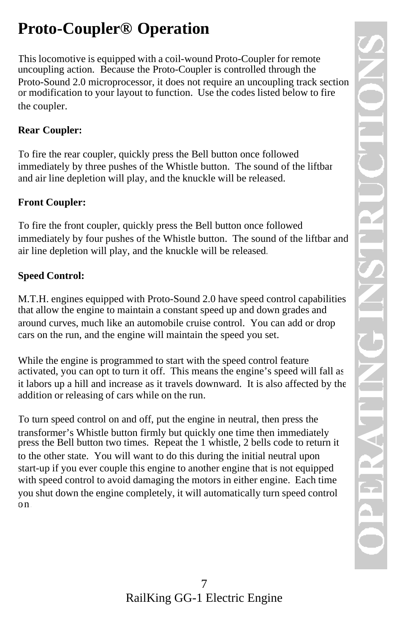# **Proto-Coupler® Operation**

This locomotive is equipped with a coil-wound Proto-Coupler for remote uncoupling action. Because the Proto-Coupler is controlled through the Proto-Sound 2.0 microprocessor, it does not require an uncoupling track section or modification to your layout to function. Use the codes listed below to fire the coupler.

#### **Rear Coupler:**

To fire the rear coupler, quickly press the Bell button once followed immediately by three pushes of the Whistle button. The sound of the liftbar and air line depletion will play, and the knuckle will be released.

#### **Front Coupler:**

To fire the front coupler, quickly press the Bell button once followed immediately by four pushes of the Whistle button. The sound of the liftbar and air line depletion will play, and the knuckle will be released.

#### **Speed Control:**

M.T.H. engines equipped with Proto-Sound 2.0 have speed control capabilities that allow the engine to maintain a constant speed up and down grades and around curves, much like an automobile cruise control. You can add or drop cars on the run, and the engine will maintain the speed you set.

While the engine is programmed to start with the speed control feature activated, you can opt to turn it off. This means the engine's speed will fall as it labors up a hill and increase as it travels downward. It is also affected by the addition or releasing of cars while on the run.

To turn speed control on and off, put the engine in neutral, then press the transformer's Whistle button firmly but quickly one time then immediately press the Bell button two times. Repeat the 1 whistle, 2 bells code to return it to the other state. You will want to do this during the initial neutral upon start-up if you ever couple this engine to another engine that is not equipped with speed control to avoid damaging the motors in either engine. Each time you shut down the engine completely, it will automatically turn speed control on.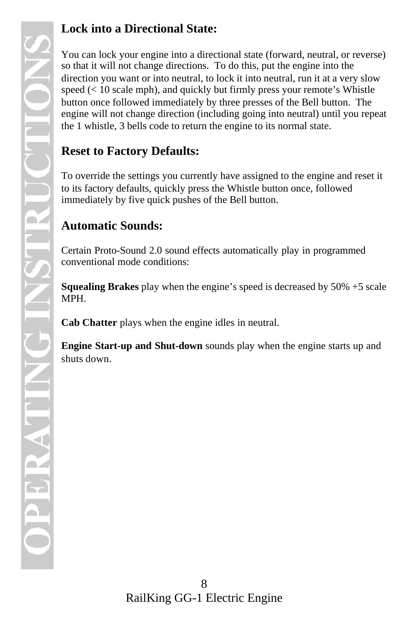### **Lock into a Directional State:**

You can lock your engine into a directional state (forward, neutral, or reverse) so that it will not change directions. To do this, put the engine into the direction you want or into neutral, to lock it into neutral, run it at a very slow speed (< 10 scale mph), and quickly but firmly press your remote's Whistle button once followed immediately by three presses of the Bell button. The engine will not change direction (including going into neutral) until you repeat the 1 whistle, 3 bells code to return the engine to its normal state.

### **Reset to Factory Defaults:**

To override the settings you currently have assigned to the engine and reset it to its factory defaults, quickly press the Whistle button once, followed immediately by five quick pushes of the Bell button.

### **Automatic Sounds:**

Certain Proto-Sound 2.0 sound effects automatically play in programmed conventional mode conditions:

**Squealing Brakes** play when the engine's speed is decreased by 50% +5 scale MPH.

**Cab Chatter** plays when the engine idles in neutral.

**Engine Start-up and Shut-down** sounds play when the engine starts up and shuts down.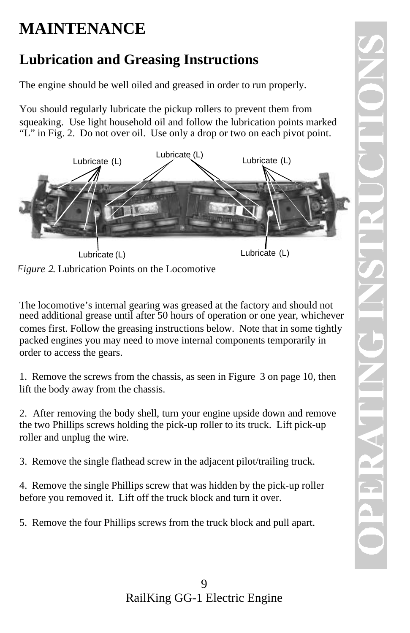# **MAINTENANCE**

## **Lubrication and Greasing Instructions**

The engine should be well oiled and greased in order to run properly.

You should regularly lubricate the pickup rollers to prevent them from squeaking. Use light household oil and follow the lubrication points marked "L" in Fig. 2. Do not over oil. Use only a drop or two on each pivot point.



*Figure 2*. Lubrication Points on the Locomotive

The locomotive's internal gearing was greased at the factory and should not need additional grease until after 50 hours of operation or one year, whichever comes first. Follow the greasing instructions below. Note that in some tightly packed engines you may need to move internal components temporarily in order to access the gears.

1. Remove the screws from the chassis, as seen in Figure 3 on page 10, then lift the body away from the chassis.

2. After removing the body shell, turn your engine upside down and remove the two Phillips screws holding the pick-up roller to its truck. Lift pick-up roller and unplug the wire.

3. Remove the single flathead screw in the adjacent pilot/trailing truck.

4. Remove the single Phillips screw that was hidden by the pick-up roller before you removed it. Lift off the truck block and turn it over.

5. Remove the four Phillips screws from the truck block and pull apart.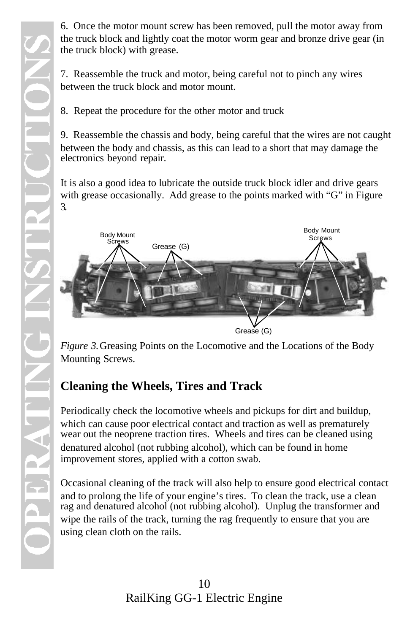6. Once the motor mount screw has been removed, pull the motor away from the truck block and lightly coat the motor worm gear and bronze drive gear (in the truck block) with grease.

7. Reassemble the truck and motor, being careful not to pinch any wires between the truck block and motor mount.

8. Repeat the procedure for the other motor and truck

9. Reassemble the chassis and body, being careful that the wires are not caught between the body and chassis, as this can lead to a short that may damage the electronics beyond repair.

It is also a good idea to lubricate the outside truck block idler and drive gears with grease occasionally. Add grease to the points marked with "G" in Figure 3.



*Figure 3.* Greasing Points on the Locomotive and the Locations of the Body Mounting Screws.

## **Cleaning the Wheels, Tires and Track**

Periodically check the locomotive wheels and pickups for dirt and buildup, which can cause poor electrical contact and traction as well as prematurely wear out the neoprene traction tires. Wheels and tires can be cleaned using denatured alcohol (not rubbing alcohol), which can be found in home improvement stores, applied with a cotton swab.

Occasional cleaning of the track will also help to ensure good electrical contact and to prolong the life of your engine's tires. To clean the track, use a clean rag and denatured alcohol (not rubbing alcohol). Unplug the transformer and wipe the rails of the track, turning the rag frequently to ensure that you are using clean cloth on the rails.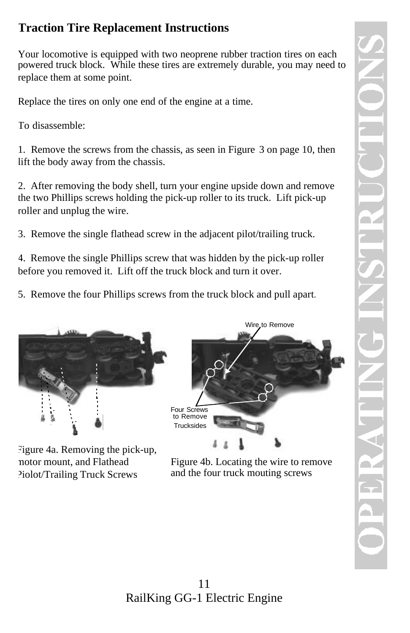### **Traction Tire Replacement Instructions**

Your locomotive is equipped with two neoprene rubber traction tires on each powered truck block. While these tires are extremely durable, you may need to replace them at some point.

Replace the tires on only one end of the engine at a time.

To disassemble:

1. Remove the screws from the chassis, as seen in Figure 3 on page 10, then lift the body away from the chassis.

2. After removing the body shell, turn your engine upside down and remove the two Phillips screws holding the pick-up roller to its truck. Lift pick-up roller and unplug the wire.

3. Remove the single flathead screw in the adjacent pilot/trailing truck.

4. Remove the single Phillips screw that was hidden by the pick-up roller before you removed it. Lift off the truck block and turn it over.

5. Remove the four Phillips screws from the truck block and pull apart.



Figure 4a. Removing the pick-up, motor mount, and Flathead Piolot/Trailing Truck Screws



Figure 4b. Locating the wire to remove and the four truck mouting screws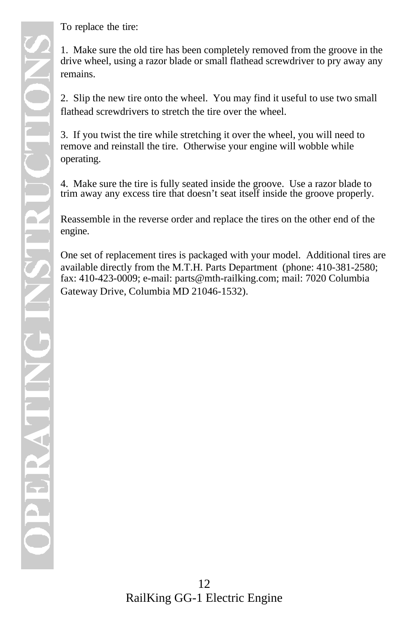To replace the tire:

1. Make sure the old tire has been completely removed from the groove in the drive wheel, using a razor blade or small flathead screwdriver to pry away any remains.

2. Slip the new tire onto the wheel. You may find it useful to use two small flathead screwdrivers to stretch the tire over the wheel.

3. If you twist the tire while stretching it over the wheel, you will need to remove and reinstall the tire. Otherwise your engine will wobble while operating.

4. Make sure the tire is fully seated inside the groove. Use a razor blade to trim away any excess tire that doesn't seat itself inside the groove properly.

Reassemble in the reverse order and replace the tires on the other end of the engine.

One set of replacement tires is packaged with your model. Additional tires are available directly from the M.T.H. Parts Department (phone: 410-381-2580; fax: 410-423-0009; e-mail: parts@mth-railking.com; mail: 7020 Columbia Gateway Drive, Columbia MD 21046-1532).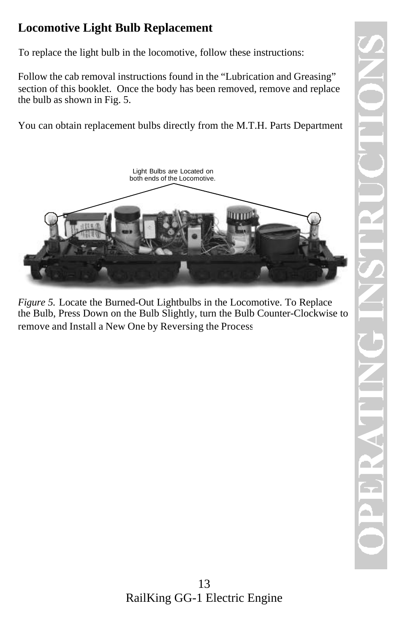### **Locomotive Light Bulb Replacement**

To replace the light bulb in the locomotive, follow these instructions:

Follow the cab removal instructions found in the "Lubrication and Greasing" section of this booklet. Once the body has been removed, remove and replace the bulb as shown in Fig. 5.

You can obtain replacement bulbs directly from the M.T.H. Parts Department.



*Figure 5.* Locate the Burned-Out Lightbulbs in the Locomotive. To Replace the Bulb, Press Down on the Bulb Slightly, turn the Bulb Counter-Clockwise to remove and Install a New One by Reversing the Process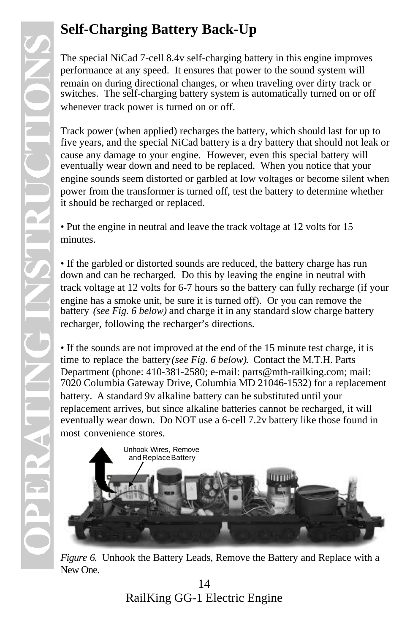## **Self-Charging Battery Back-Up**

The special NiCad 7-cell 8.4v self-charging battery in this engine improves performance at any speed. It ensures that power to the sound system will remain on during directional changes, or when traveling over dirty track or switches. The self-charging battery system is automatically turned on or off whenever track power is turned on or off.

Track power (when applied) recharges the battery, which should last for up to five years, and the special NiCad battery is a dry battery that should not leak or cause any damage to your engine. However, even this special battery will eventually wear down and need to be replaced. When you notice that your engine sounds seem distorted or garbled at low voltages or become silent when power from the transformer is turned off, test the battery to determine whether it should be recharged or replaced.

• Put the engine in neutral and leave the track voltage at 12 volts for 15 minutes.

• If the garbled or distorted sounds are reduced, the battery charge has run down and can be recharged. Do this by leaving the engine in neutral with track voltage at 12 volts for 6-7 hours so the battery can fully recharge (if your engine has a smoke unit, be sure it is turned off). Or you can remove the battery *(see Fig. 6 below)* and charge it in any standard slow charge battery recharger, following the recharger's directions.

• If the sounds are not improved at the end of the 15 minute test charge, it is time to replace the battery *(see Fig. 6 below)*. Contact the M.T.H. Parts Department (phone: 410-381-2580; e-mail: parts@mth-railking.com; mail: 7020 Columbia Gateway Drive, Columbia MD 21046-1532) for a replacement battery. A standard 9v alkaline battery can be substituted until your replacement arrives, but since alkaline batteries cannot be recharged, it will eventually wear down. Do NOT use a 6-cell 7.2v battery like those found in most convenience stores.



*Figure 6.* Unhook the Battery Leads, Remove the Battery and Replace with a New One.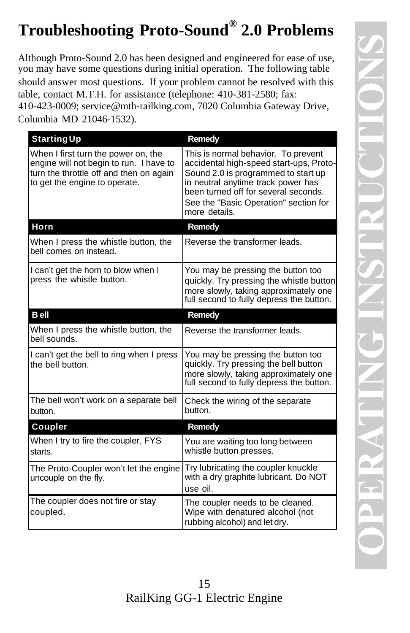# **Troubleshooting Proto-Sound® 2.0 Problems**

Although Proto-Sound 2.0 has been designed and engineered for ease of use, you may have some questions during initial operation. The following table should answer most questions. If your problem cannot be resolved with this table, contact M.T.H. for assistance (telephone: 410-381-2580; fax: 410-423-0009; service@mth-railking.com, 7020 Columbia Gateway Drive, Columbia MD 21046-1532).

| <b>Starting Up</b>                                                                                                                                         | Remedy                                                                                                                                                                                                                                                        |
|------------------------------------------------------------------------------------------------------------------------------------------------------------|---------------------------------------------------------------------------------------------------------------------------------------------------------------------------------------------------------------------------------------------------------------|
| When I first turn the power on, the<br>engine will not begin to run. I have to<br>turn the throttle off and then on again<br>to get the engine to operate. | This is normal behavior. To prevent<br>accidental high-speed start-ups, Proto-<br>Sound 2.0 is programmed to start up<br>in neutral anytime track power has<br>been turned off for several seconds.<br>See the "Basic Operation" section for<br>more details. |
| Horn                                                                                                                                                       | <b>Remedy</b>                                                                                                                                                                                                                                                 |
| When I press the whistle button, the<br>bell comes on instead.                                                                                             | Reverse the transformer leads.                                                                                                                                                                                                                                |
| I can't get the horn to blow when I<br>press the whistle button.                                                                                           | You may be pressing the button too<br>quickly. Try pressing the whistle button<br>more slowly, taking approximately one<br>full second to fully depress the button.                                                                                           |
| <b>B</b> ell                                                                                                                                               | Remedy                                                                                                                                                                                                                                                        |
| When I press the whistle button, the<br>hell sounds.                                                                                                       | Reverse the transformer leads.                                                                                                                                                                                                                                |
| I can't get the bell to ring when I press<br>the hell button.                                                                                              | You may be pressing the button too<br>quickly. Try pressing the bell button<br>more slowly, taking approximately one<br>full second to fully depress the button.                                                                                              |
| The bell won't work on a separate bell<br>button.                                                                                                          | Check the wiring of the separate<br>button.                                                                                                                                                                                                                   |
| Coupler                                                                                                                                                    | Remedy                                                                                                                                                                                                                                                        |
| When I try to fire the coupler, FYS<br>starts.                                                                                                             | You are waiting too long between<br>whistle button presses.                                                                                                                                                                                                   |
| The Proto-Coupler won't let the engine<br>uncouple on the fly.                                                                                             | Try lubricating the coupler knuckle<br>with a dry graphite lubricant. Do NOT<br>use oil.                                                                                                                                                                      |
| The coupler does not fire or stay<br>coupled.                                                                                                              | The coupler needs to be cleaned.<br>Wipe with denatured alcohol (not<br>rubbing alcohol) and let dry.                                                                                                                                                         |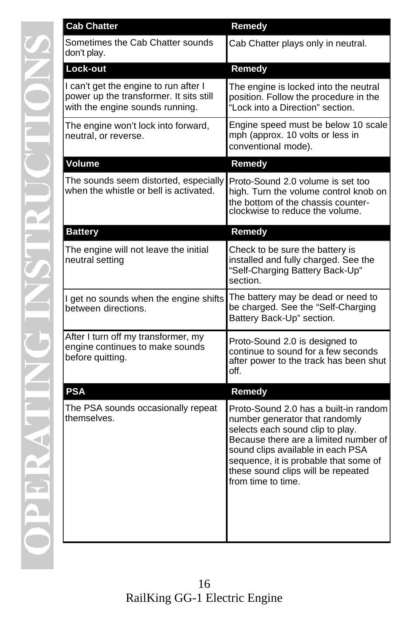| <b>Cab Chatter</b>                                                                                                  | Remedy                                                                                                                                                                                                                                                                                         |
|---------------------------------------------------------------------------------------------------------------------|------------------------------------------------------------------------------------------------------------------------------------------------------------------------------------------------------------------------------------------------------------------------------------------------|
| Sometimes the Cab Chatter sounds<br>don't play.                                                                     | Cab Chatter plays only in neutral.                                                                                                                                                                                                                                                             |
| Lock-out                                                                                                            | Remedy                                                                                                                                                                                                                                                                                         |
| I can't get the engine to run after I<br>power up the transformer. It sits still<br>with the engine sounds running. | The engine is locked into the neutral<br>position. Follow the procedure in the<br>"Lock into a Direction" section.                                                                                                                                                                             |
| The engine won't lock into forward,<br>neutral, or reverse.                                                         | Engine speed must be below 10 scale<br>mph (approx. 10 volts or less in<br>conventional mode).                                                                                                                                                                                                 |
| <b>Volume</b>                                                                                                       | <b>Remedy</b>                                                                                                                                                                                                                                                                                  |
| The sounds seem distorted, especially<br>when the whistle or bell is activated.                                     | Proto-Sound 2.0 volume is set too<br>high. Turn the volume control knob on<br>the bottom of the chassis counter-<br>clockwise to reduce the volume.                                                                                                                                            |
| <b>Battery</b>                                                                                                      | Remedy                                                                                                                                                                                                                                                                                         |
| The engine will not leave the initial<br>neutral setting                                                            | Check to be sure the battery is<br>installed and fully charged. See the<br>"Self-Charging Battery Back-Up"<br>section.                                                                                                                                                                         |
| I get no sounds when the engine shifts<br>between directions.                                                       | The battery may be dead or need to<br>be charged. See the "Self-Charging<br>Battery Back-Up" section.                                                                                                                                                                                          |
| After I turn off my transformer, my<br>engine continues to make sounds<br>before quitting.                          | Proto-Sound 2.0 is designed to<br>continue to sound for a few seconds<br>after power to the track has been shut<br>off.                                                                                                                                                                        |
| <b>PSA</b>                                                                                                          | Remedy                                                                                                                                                                                                                                                                                         |
| The PSA sounds occasionally repeat<br>themselves.                                                                   | Proto-Sound 2.0 has a built-in random<br>number generator that randomly<br>selects each sound clip to play.<br>Because there are a limited number of<br>sound clips available in each PSA<br>sequence, it is probable that some of<br>these sound clips will be repeated<br>from time to time. |

Ū

E

É

 $\triangleleft$ 

ER

 $\blacktriangle$ 

 $\overline{\mathcal{L}}$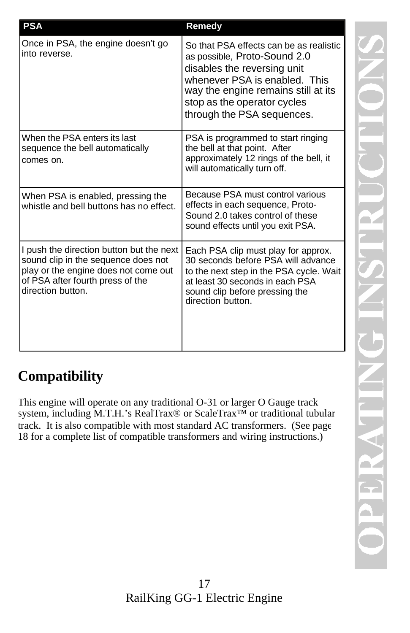| <b>PSA</b>                                                                                                                                                                       | Remedy                                                                                                                                                                                                                                      |
|----------------------------------------------------------------------------------------------------------------------------------------------------------------------------------|---------------------------------------------------------------------------------------------------------------------------------------------------------------------------------------------------------------------------------------------|
| Once in PSA, the engine doesn't go<br>into reverse.                                                                                                                              | So that PSA effects can be as realistic<br>as possible, Proto-Sound 2.0<br>disables the reversing unit<br>whenever PSA is enabled. This<br>way the engine remains still at its<br>stop as the operator cycles<br>through the PSA sequences. |
| When the PSA enters its last<br>sequence the bell automatically<br>comes on.                                                                                                     | PSA is programmed to start ringing<br>the bell at that point. After<br>approximately 12 rings of the bell, it<br>will automatically turn off.                                                                                               |
| When PSA is enabled, pressing the<br>whistle and bell buttons has no effect.                                                                                                     | Because PSA must control various<br>effects in each sequence, Proto-<br>Sound 2.0 takes control of these<br>sound effects until you exit PSA.                                                                                               |
| I push the direction button but the next<br>sound clip in the sequence does not<br>play or the engine does not come out<br>of PSA after fourth press of the<br>direction button. | Each PSA clip must play for approx.<br>30 seconds before PSA will advance<br>to the next step in the PSA cycle. Wait<br>at least 30 seconds in each PSA<br>sound clip before pressing the<br>direction button.                              |

## **Compatibility**

This engine will operate on any traditional O-31 or larger O Gauge track system, including M.T.H.'s RealTrax® or ScaleTrax™ or traditional tubular track. It is also compatible with most standard AC transformers. (See page 18 for a complete list of compatible transformers and wiring instructions.)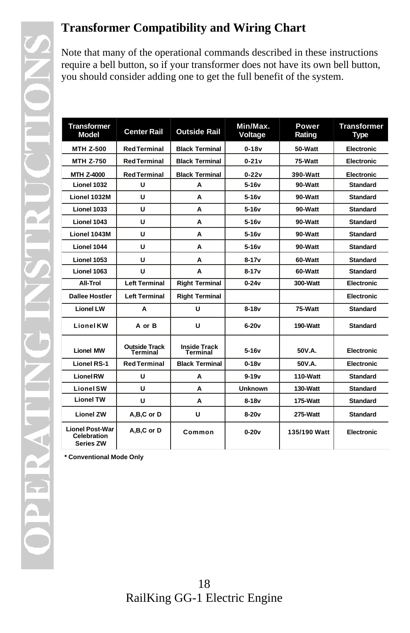### **Transformer Compatibility and Wiring Chart**

Note that many of the operational commands described in these instructions require a bell button, so if your transformer does not have its own bell button, you should consider adding one to get the full benefit of the system.

| <b>Transformer</b><br>Model                               | <b>Center Rail</b>               | <b>Outside Rail</b>             | Min/Max.<br>Voltage | Power<br>Rating | <b>Transformer</b><br>Type |
|-----------------------------------------------------------|----------------------------------|---------------------------------|---------------------|-----------------|----------------------------|
| <b>MTH Z-500</b>                                          | <b>Red Terminal</b>              | <b>Black Terminal</b>           | $0 - 18v$           | 50-Watt         | Electronic                 |
| <b>MTH Z-750</b>                                          | <b>Red Terminal</b>              | <b>Black Terminal</b>           | $0-21v$             | 75-Watt         | Electronic                 |
| <b>MTH Z-4000</b>                                         | <b>Red Terminal</b>              | <b>Black Terminal</b>           | $0 - 22v$           | 390-Watt        | Electronic                 |
| Lionel 1032                                               | U                                | A                               | 5-16v               | 90-Watt         | <b>Standard</b>            |
| Lionel 1032M                                              | U                                | A                               | 5-16v               | 90-Watt         | <b>Standard</b>            |
| Lionel 1033                                               | U                                | A                               | 5-16v               | 90-Watt         | Standard                   |
| Lionel 1043                                               | U                                | A                               | 5-16v               | 90-Watt         | <b>Standard</b>            |
| Lionel 1043M                                              | U                                | A                               | 5-16v               | 90-Watt         | Standard                   |
| Lionel 1044                                               | U                                | A                               | 5-16v               | 90-Watt         | <b>Standard</b>            |
| Lionel 1053                                               | U                                | А                               | $8 - 17v$           | 60-Watt         | <b>Standard</b>            |
| Lionel 1063                                               | U                                | A                               | $8-17v$             | 60-Watt         | <b>Standard</b>            |
| All-Trol                                                  | <b>Left Terminal</b>             | <b>Right Terminal</b>           | $0 - 24v$           | 300-Watt        | Electronic                 |
| <b>Dallee Hostler</b>                                     | <b>Left Terminal</b>             | <b>Right Terminal</b>           |                     |                 | Electronic                 |
| <b>Lionel LW</b>                                          | A                                | U                               | $8-18v$             | 75-Watt         | <b>Standard</b>            |
| <b>Lionel KW</b>                                          | A or B                           | U                               | $6-20v$             | 190-Watt        | Standard                   |
| <b>Lionel MW</b>                                          | <b>Outside Track</b><br>Terminal | <b>Inside Track</b><br>Terminal | 5-16v               | 50V.A.          | <b>Electronic</b>          |
| <b>Lionel RS-1</b>                                        | <b>Red Terminal</b>              | <b>Black Terminal</b>           | $0 - 18v$           | 50V.A.          | Electronic                 |
| <b>Lionel RW</b>                                          | U                                | A                               | $9 - 19v$           | 110-Watt        | Standard                   |
| Lionel SW                                                 | U                                | A                               | <b>Unknown</b>      | 130-Watt        | <b>Standard</b>            |
| <b>Lionel TW</b>                                          | U                                | A                               | $8-18v$             | 175-Watt        | <b>Standard</b>            |
| <b>Lionel ZW</b>                                          | A,B,C or D                       | U                               | $8-20v$             | 275-Watt        | <b>Standard</b>            |
| <b>Lionel Post-War</b><br>Celebration<br><b>Series ZW</b> | A,B,C or D                       | Common                          | $0 - 20v$           | 135/190 Watt    | <b>Electronic</b>          |

**\* Conventional Mode Only**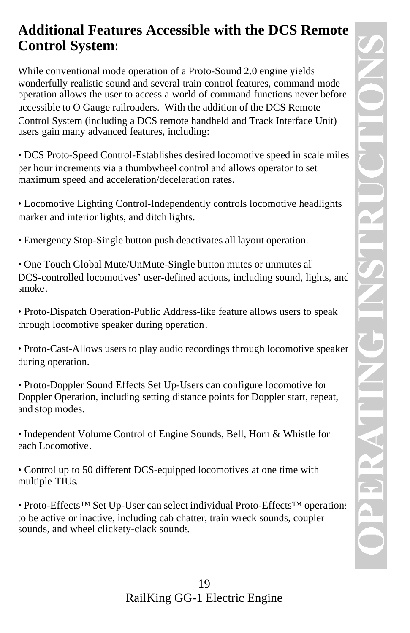## **Additional Features Accessible with the DCS Remote Control System:**

While conventional mode operation of a Proto-Sound 2.0 engine yields wonderfully realistic sound and several train control features, command mode operation allows the user to access a world of command functions never before accessible to O Gauge railroaders. With the addition of the DCS Remote Control System (including a DCS remote handheld and Track Interface Unit) users gain many advanced features, including:

• DCS Proto-Speed Control-Establishes desired locomotive speed in scale miles per hour increments via a thumbwheel control and allows operator to set maximum speed and acceleration/deceleration rates.

• Locomotive Lighting Control-Independently controls locomotive headlights, marker and interior lights, and ditch lights.

• Emergency Stop-Single button push deactivates all layout operation.

• One Touch Global Mute/UnMute-Single button mutes or unmutes all DCS-controlled locomotives' user-defined actions, including sound, lights, and smoke.

• Proto-Dispatch Operation-Public Address-like feature allows users to speak through locomotive speaker during operation.

• Proto-Cast-Allows users to play audio recordings through locomotive speaker during operation.

• Proto-Doppler Sound Effects Set Up-Users can configure locomotive for Doppler Operation, including setting distance points for Doppler start, repeat, and stop modes.

• Independent Volume Control of Engine Sounds, Bell, Horn & Whistle for each Locomotive.

• Control up to 50 different DCS-equipped locomotives at one time with multiple TIUs.

• Proto-Effects™ Set Up-User can select individual Proto-Effects™ operations to be active or inactive, including cab chatter, train wreck sounds, coupler sounds, and wheel clickety-clack sounds.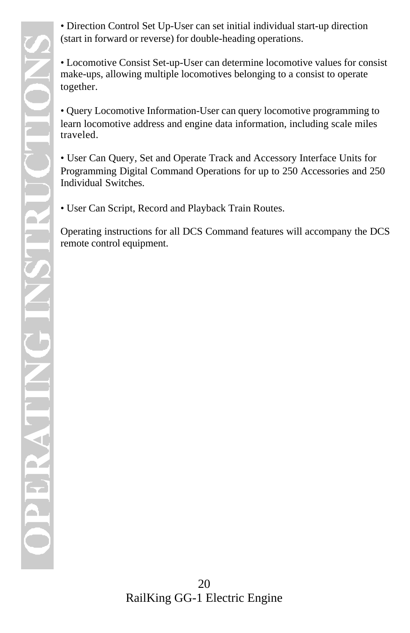• Direction Control Set Up-User can set initial individual start-up direction (start in forward or reverse) for double-heading operations.

• Locomotive Consist Set-up-User can determine locomotive values for consist make-ups, allowing multiple locomotives belonging to a consist to operate together.

• Query Locomotive Information-User can query locomotive programming to learn locomotive address and engine data information, including scale miles traveled.

• User Can Query, Set and Operate Track and Accessory Interface Units for Programming Digital Command Operations for up to 250 Accessories and 250 Individual Switches.

• User Can Script, Record and Playback Train Routes.

Operating instructions for all DCS Command features will accompany the DCS remote control equipment.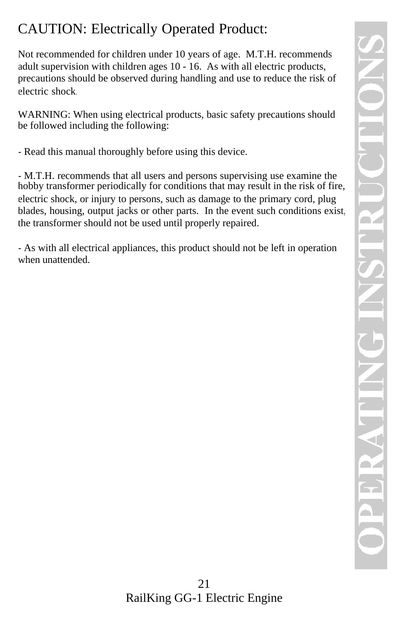## CAUTION: Electrically Operated Product:

Not recommended for children under 10 years of age. M.T.H. recommends adult supervision with children ages 10 - 16. As with all electric products, precautions should be observed during handling and use to reduce the risk of electric shock.

WARNING: When using electrical products, basic safety precautions should be followed including the following:

- Read this manual thoroughly before using this device.

- M.T.H. recommends that all users and persons supervising use examine the hobby transformer periodically for conditions that may result in the risk of fire, electric shock, or injury to persons, such as damage to the primary cord, plug blades, housing, output jacks or other parts. In the event such conditions exist, the transformer should not be used until properly repaired.

- As with all electrical appliances, this product should not be left in operation when unattended.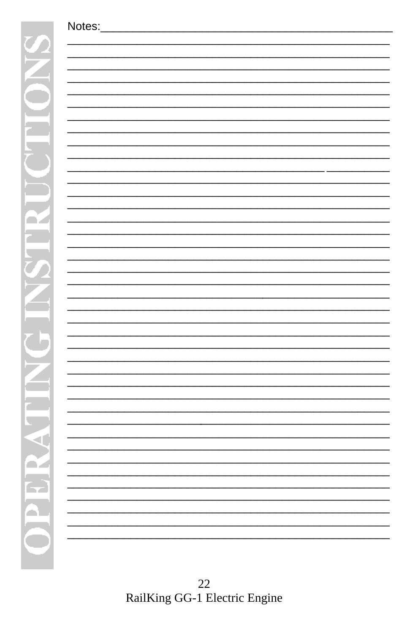22<br>RailKing GG-1 Electric Engine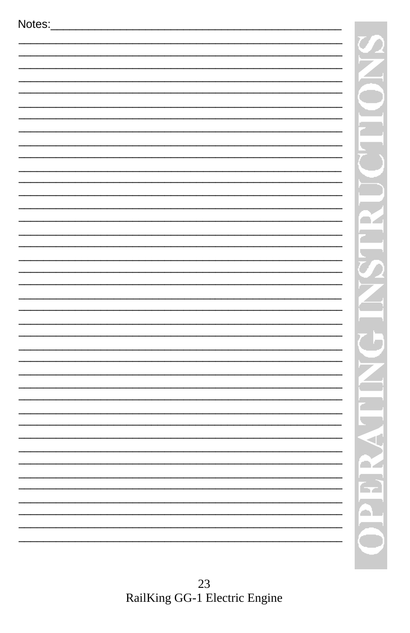| Notes: |  |  |  |
|--------|--|--|--|
|        |  |  |  |
|        |  |  |  |
|        |  |  |  |
|        |  |  |  |
|        |  |  |  |
|        |  |  |  |
|        |  |  |  |
|        |  |  |  |
|        |  |  |  |
|        |  |  |  |
|        |  |  |  |
|        |  |  |  |
|        |  |  |  |
|        |  |  |  |
|        |  |  |  |
|        |  |  |  |
|        |  |  |  |
|        |  |  |  |
|        |  |  |  |
|        |  |  |  |
|        |  |  |  |
|        |  |  |  |
|        |  |  |  |
|        |  |  |  |
|        |  |  |  |
|        |  |  |  |
|        |  |  |  |
|        |  |  |  |
|        |  |  |  |
|        |  |  |  |
|        |  |  |  |
|        |  |  |  |
|        |  |  |  |
|        |  |  |  |
|        |  |  |  |
|        |  |  |  |
|        |  |  |  |
|        |  |  |  |
|        |  |  |  |
|        |  |  |  |
|        |  |  |  |
|        |  |  |  |
|        |  |  |  |

 $\frac{\gamma}{\gamma}$ 

2

ry.

F<br>A